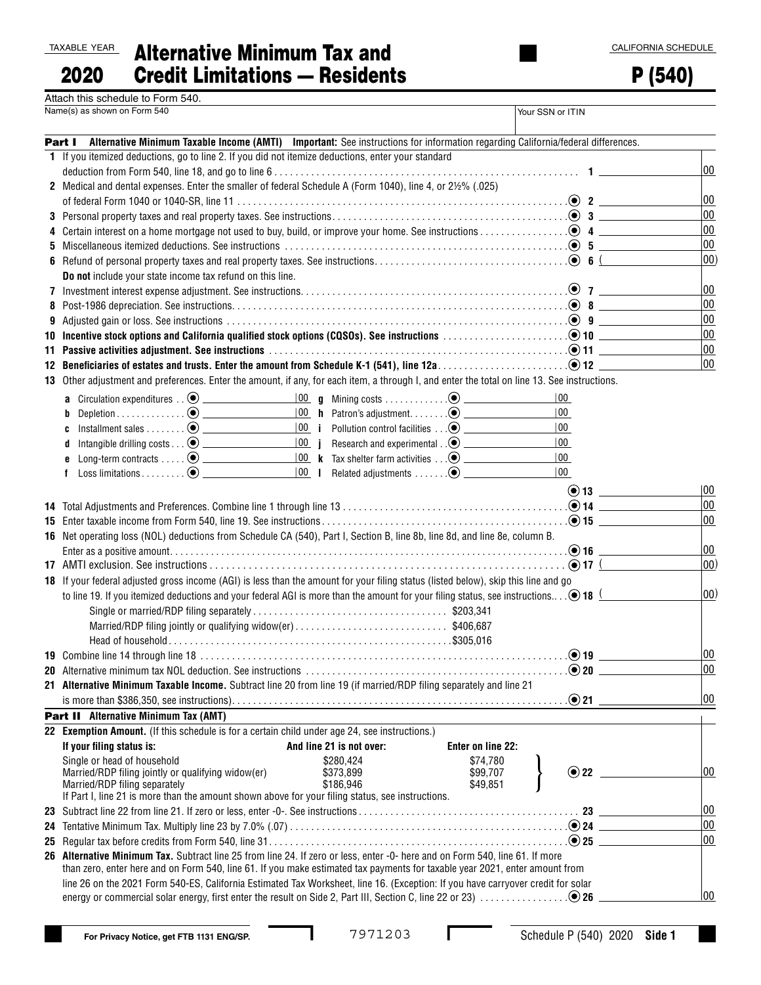| TAXABLE YEA |  |
|-------------|--|
|             |  |

TAXABLE YEAR Alternative Minimum Tax and Credit Limitations — Residents 2020

P (540)

| Attach this schedule to Form 540. |  |
|-----------------------------------|--|
| Name(s) as shown on Form 540      |  |

|    | Name(s) as shown on Form 540                                                                                                                                                                                                   |                          |                                                                             | Your SSN or ITIN              |              |
|----|--------------------------------------------------------------------------------------------------------------------------------------------------------------------------------------------------------------------------------|--------------------------|-----------------------------------------------------------------------------|-------------------------------|--------------|
|    | Part I Alternative Minimum Taxable Income (AMTI) Important: See instructions for information regarding California/federal differences.                                                                                         |                          |                                                                             |                               |              |
|    | 1 If you itemized deductions, go to line 2. If you did not itemize deductions, enter your standard                                                                                                                             |                          |                                                                             |                               |              |
|    |                                                                                                                                                                                                                                |                          |                                                                             |                               | 00           |
|    | 2 Medical and dental expenses. Enter the smaller of federal Schedule A (Form 1040), line 4, or 21/2% (.025)                                                                                                                    |                          |                                                                             |                               |              |
|    |                                                                                                                                                                                                                                |                          |                                                                             |                               | 00           |
|    |                                                                                                                                                                                                                                |                          |                                                                             |                               | 00           |
|    |                                                                                                                                                                                                                                |                          |                                                                             |                               | 00           |
| 5. | Miscellaneous itemized deductions. See instructions $\dots\dots\dots\dots\dots\dots\dots\dots\dots\dots\dots\dots\dots\dots\dots$                                                                                              |                          |                                                                             |                               | 00           |
|    |                                                                                                                                                                                                                                |                          |                                                                             |                               | $ 00\rangle$ |
|    | Do not include your state income tax refund on this line.                                                                                                                                                                      |                          |                                                                             |                               |              |
|    |                                                                                                                                                                                                                                |                          |                                                                             |                               | 00           |
|    |                                                                                                                                                                                                                                |                          |                                                                             |                               | 00           |
| 9  |                                                                                                                                                                                                                                |                          |                                                                             |                               | 00           |
|    | 10 Incentive stock options and California qualified stock options (CQSOs). See instructions with an example of the stock options of the state of the state of the state of the state of the state of the state of the state of |                          |                                                                             |                               | 00           |
|    | 11 Passive activities adjustment. See instructions with an expression of the control of the control of $\bullet$ 11 $\_\_$                                                                                                     |                          |                                                                             |                               | 00           |
|    |                                                                                                                                                                                                                                |                          |                                                                             |                               | 00           |
|    | 13 Other adjustment and preferences. Enter the amount, if any, for each item, a through I, and enter the total on line 13. See instructions.                                                                                   |                          |                                                                             |                               |              |
|    |                                                                                                                                                                                                                                |                          |                                                                             | $ 00\rangle$                  |              |
|    | b                                                                                                                                                                                                                              |                          |                                                                             | $ 00\rangle$                  |              |
|    | C                                                                                                                                                                                                                              |                          |                                                                             | 00                            |              |
|    | d                                                                                                                                                                                                                              |                          |                                                                             | $ 00\rangle$                  |              |
|    | e                                                                                                                                                                                                                              |                          |                                                                             | 00                            |              |
|    |                                                                                                                                                                                                                                |                          | $\frac{ 00 }{ 00 }$   Related adjustments $\ldots \ldots \odot$ ___________ | $ 00\rangle$                  |              |
|    |                                                                                                                                                                                                                                |                          |                                                                             |                               | 00           |
|    |                                                                                                                                                                                                                                |                          |                                                                             |                               | 00           |
|    |                                                                                                                                                                                                                                |                          |                                                                             | $\odot$ 15                    | 00           |
|    | 16 Net operating loss (NOL) deductions from Schedule CA (540), Part I, Section B, line 8b, line 8d, and line 8e, column B.                                                                                                     |                          |                                                                             |                               |              |
|    |                                                                                                                                                                                                                                |                          |                                                                             | $\bullet$ 16 $\hspace{1.5cm}$ | 00           |
|    |                                                                                                                                                                                                                                |                          |                                                                             | $\odot$ 17 $\qquad \qquad$    | $ 00\rangle$ |
|    | 18 If your federal adjusted gross income (AGI) is less than the amount for your filing status (listed below), skip this line and go                                                                                            |                          |                                                                             |                               |              |
|    | to line 19. If you itemized deductions and your federal AGI is more than the amount for your filing status, see instructions $\bigcirc$ 18 $\bot$                                                                              |                          |                                                                             |                               | $ 00\rangle$ |
|    |                                                                                                                                                                                                                                |                          |                                                                             |                               |              |
|    | Married/RDP filing jointly or qualifying widow(er)\$406,687                                                                                                                                                                    |                          |                                                                             |                               |              |
|    |                                                                                                                                                                                                                                |                          |                                                                             |                               |              |
|    |                                                                                                                                                                                                                                |                          |                                                                             |                               | 00           |
|    |                                                                                                                                                                                                                                |                          |                                                                             |                               | $ _{00}$     |
|    | 21 Alternative Minimum Taxable Income. Subtract line 20 from line 19 (if married/RDP filing separately and line 21                                                                                                             |                          |                                                                             |                               |              |
|    |                                                                                                                                                                                                                                |                          |                                                                             |                               | 00           |
|    | Part II Alternative Minimum Tax (AMT)                                                                                                                                                                                          |                          |                                                                             |                               |              |
|    | 22 Exemption Amount. (If this schedule is for a certain child under age 24, see instructions.)                                                                                                                                 |                          |                                                                             |                               |              |
|    | If your filing status is:                                                                                                                                                                                                      | And line 21 is not over: | Enter on line 22:                                                           |                               |              |
|    | Single or head of household                                                                                                                                                                                                    | \$280,424                | \$74,780                                                                    |                               | 00           |
|    | Married/RDP filing jointly or qualifying widow(er)<br>Married/RDP filing separately                                                                                                                                            | \$373,899<br>\$186,946   | \$99,707<br>\$49,851                                                        | $\odot$ 22 $\phantom{0}$      |              |
|    | If Part I, line 21 is more than the amount shown above for your filing status, see instructions.                                                                                                                               |                          |                                                                             |                               |              |
|    |                                                                                                                                                                                                                                |                          |                                                                             |                               | 00           |
|    |                                                                                                                                                                                                                                |                          |                                                                             |                               | 00           |
|    | 25 <b>Requiar tax before credits from Form 540, line 31.</b> $\dots$ . $\dots$ . $\dots$ . $\dots$ . $\dots$ . $\dots$ . $\dots$ . $\bullet$ 25 $\dots$                                                                        |                          |                                                                             |                               | 00           |
|    | 26 Alternative Minimum Tax. Subtract line 25 from line 24. If zero or less, enter -0- here and on Form 540, line 61. If more                                                                                                   |                          |                                                                             |                               |              |
|    | than zero, enter here and on Form 540, line 61. If you make estimated tax payments for taxable year 2021, enter amount from                                                                                                    |                          |                                                                             |                               |              |
|    | line 26 on the 2021 Form 540-ES, California Estimated Tax Worksheet, line 16. (Exception: If you have carryover credit for solar                                                                                               |                          |                                                                             |                               |              |
|    |                                                                                                                                                                                                                                |                          |                                                                             |                               | 00           |